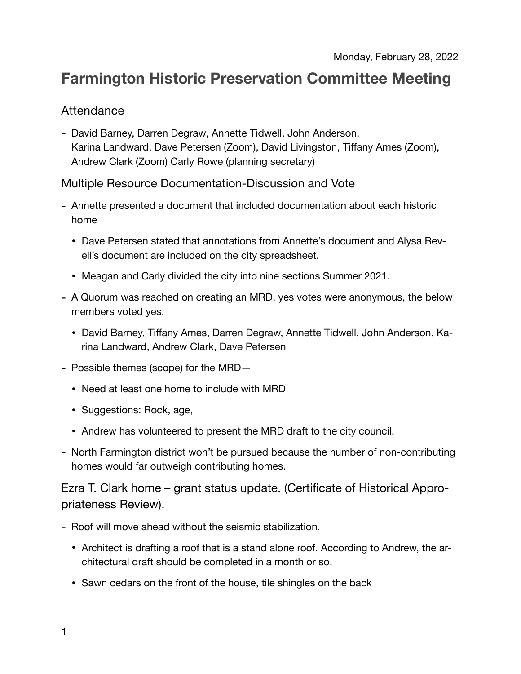# **Farmington Historic Preservation Committee Meeting**

## Attendance

- David Barney, Darren Degraw, Annette Tidwell, John Anderson, Karina Landward, Dave Petersen (Zoom), David Livingston, Tiffany Ames (Zoom), Andrew Clark (Zoom) Carly Rowe (planning secretary)

Multiple Resource Documentation-Discussion and Vote

- Annette presented a document that included documentation about each historic home
	- Dave Petersen stated that annotations from Annette's document and Alysa Revell's document are included on the city spreadsheet.
	- Meagan and Carly divided the city into nine sections Summer 2021.
- A Quorum was reached on creating an MRD, yes votes were anonymous, the below members voted yes.
	- David Barney, Tiffany Ames, Darren Degraw, Annette Tidwell, John Anderson, Karina Landward, Andrew Clark, Dave Petersen
- Possible themes (scope) for the MRD—
	- Need at least one home to include with MRD
	- Suggestions: Rock, age,
	- Andrew has volunteered to present the MRD draft to the city council.
- North Farmington district won't be pursued because the number of non-contributing homes would far outweigh contributing homes.

Ezra T. Clark home – grant status update. (Certificate of Historical Appropriateness Review).

- Roof will move ahead without the seismic stabilization.
	- Architect is drafting a roof that is a stand alone roof. According to Andrew, the architectural draft should be completed in a month or so.
	- Sawn cedars on the front of the house, tile shingles on the back